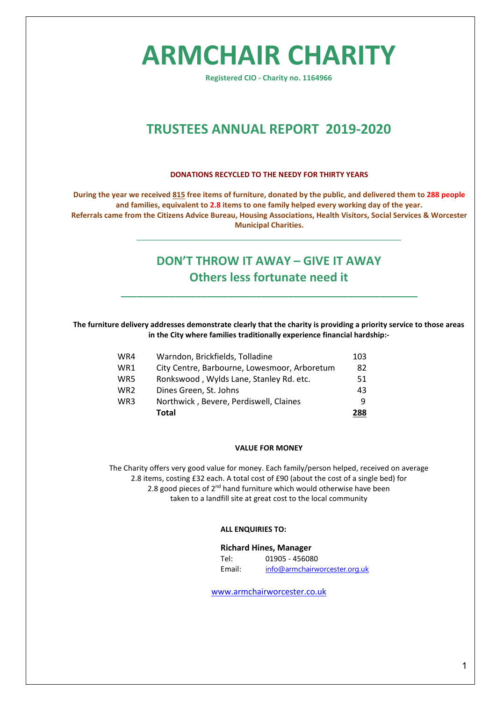# **ARMCHAIR CHARITY**

**Registered CIO - Charity no. 1164966**

# **TRUSTEES ANNUAL REPORT 2019-2020**

#### **DONATIONS RECYCLED TO THE NEEDY FOR THIRTY YEARS**

**During the year we received 815 free items of furniture, donated by the public, and delivered them to 288 people and families, equivalent to 2.8 items to one family helped every working day of the year. Referrals came from the Citizens Advice Bureau, Housing Associations, Health Visitors, Social Services & Worcester Municipal Charities.** 

# **DON'T THROW IT AWAY – GIVE IT AWAY Others less fortunate need it**

**\_\_\_\_\_\_\_\_\_\_\_\_\_\_\_\_\_\_\_\_\_\_\_\_\_\_\_\_\_\_\_\_\_\_\_\_\_\_\_\_\_\_\_\_\_\_\_\_\_\_\_\_\_\_\_**

\_\_\_\_\_\_\_\_\_\_\_\_\_\_\_\_\_\_\_\_\_\_\_\_\_\_\_\_\_\_\_\_\_\_\_\_\_\_\_\_\_\_\_\_\_\_\_\_\_\_\_\_\_\_\_\_\_\_

**The furniture delivery addresses demonstrate clearly that the charity is providing a priority service to those areas in the City where families traditionally experience financial hardship:-**

| WR4 | Warndon, Brickfields, Tolladine              | 103 |
|-----|----------------------------------------------|-----|
| WR1 | City Centre, Barbourne, Lowesmoor, Arboretum | 82  |
| WR5 | Ronkswood, Wylds Lane, Stanley Rd. etc.      | 51  |
| WR2 | Dines Green, St. Johns                       | 43  |
| WR3 | Northwick, Bevere, Perdiswell, Claines       | q   |
|     | Total                                        | 288 |

#### **VALUE FOR MONEY**

The Charity offers very good value for money. Each family/person helped, received on average 2.8 items, costing £32 each. A total cost of £90 (about the cost of a single bed) for 2.8 good pieces of  $2^{nd}$  hand furniture which would otherwise have been taken to a landfill site at great cost to the local community

#### **ALL ENQUIRIES TO:**

#### **Richard Hines, Manager**

| Tel:   | 01905 - 456080                |
|--------|-------------------------------|
| Email: | info@armchairworcester.org.uk |

[www.armchairworcester.co.uk](http://www.armchairworcester.co.uk/)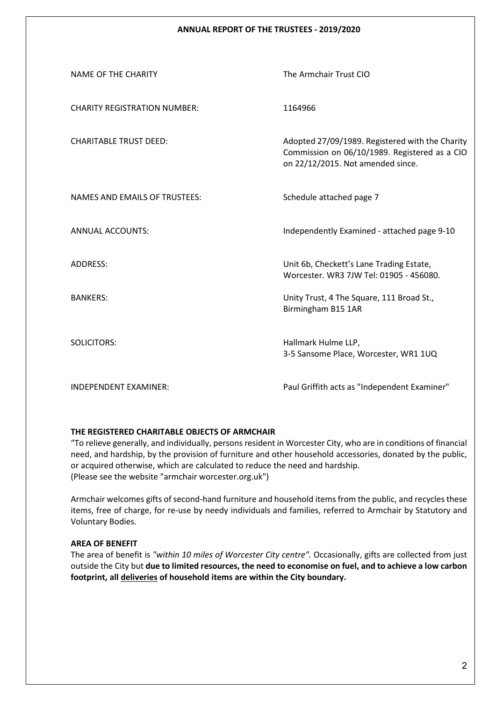# **ANNUAL REPORT OF THE TRUSTEES - 2019/2020**

| NAME OF THE CHARITY                  | The Armchair Trust CIO                                                                                                                |
|--------------------------------------|---------------------------------------------------------------------------------------------------------------------------------------|
| <b>CHARITY REGISTRATION NUMBER:</b>  | 1164966                                                                                                                               |
| <b>CHARITABLE TRUST DEED:</b>        | Adopted 27/09/1989. Registered with the Charity<br>Commission on 06/10/1989. Registered as a CIO<br>on 22/12/2015. Not amended since. |
| <b>NAMES AND EMAILS OF TRUSTEES:</b> | Schedule attached page 7                                                                                                              |
| <b>ANNUAL ACCOUNTS:</b>              | Independently Examined - attached page 9-10                                                                                           |
| ADDRESS:                             | Unit 6b, Checkett's Lane Trading Estate,<br>Worcester, WR3 7JW Tel: 01905 - 456080.                                                   |
| <b>BANKERS:</b>                      | Unity Trust, 4 The Square, 111 Broad St.,<br>Birmingham B15 1AR                                                                       |
| <b>SOLICITORS:</b>                   | Hallmark Hulme LLP,<br>3-5 Sansome Place, Worcester, WR1 1UQ                                                                          |
| INDEPENDENT EXAMINER:                | Paul Griffith acts as "Independent Examiner"                                                                                          |

#### **THE REGISTERED CHARITABLE OBJECTS OF ARMCHAIR**

"To relieve generally, and individually, persons resident in Worcester City, who are in conditions of financial need, and hardship, by the provision of furniture and other household accessories, donated by the public, or acquired otherwise, which are calculated to reduce the need and hardship. (Please see the website "armchair worcester.org.uk")

Armchair welcomes gifts of second-hand furniture and household items from the public, and recycles these items, free of charge, for re-use by needy individuals and families, referred to Armchair by Statutory and Voluntary Bodies.

# **AREA OF BENEFIT**

The area of benefit is *"within 10 miles of Worcester City centre".* Occasionally, gifts are collected from just outside the City but **due to limited resources, the need to economise on fuel, and to achieve a low carbon footprint, all deliveries of household items are within the City boundary.**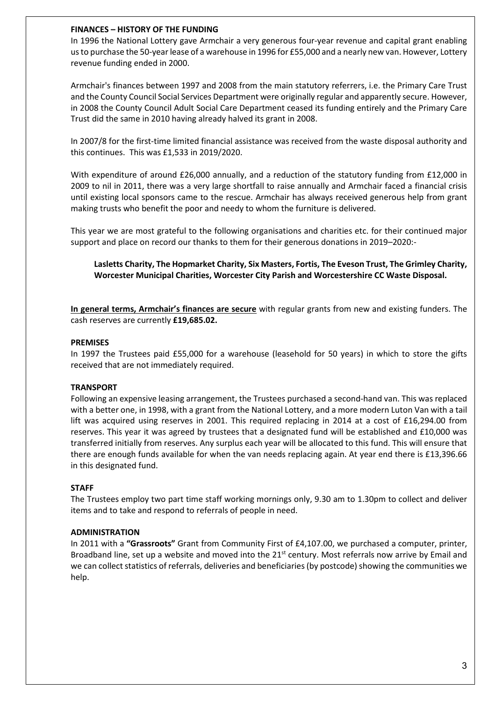# **FINANCES – HISTORY OF THE FUNDING**

In 1996 the National Lottery gave Armchair a very generous four-year revenue and capital grant enabling us to purchase the 50-year lease of a warehouse in 1996 for £55,000 and a nearly new van. However, Lottery revenue funding ended in 2000.

Armchair's finances between 1997 and 2008 from the main statutory referrers, i.e. the Primary Care Trust and the County Council Social Services Department were originally regular and apparently secure. However, in 2008 the County Council Adult Social Care Department ceased its funding entirely and the Primary Care Trust did the same in 2010 having already halved its grant in 2008.

In 2007/8 for the first-time limited financial assistance was received from the waste disposal authority and this continues. This was £1,533 in 2019/2020.

With expenditure of around £26,000 annually, and a reduction of the statutory funding from £12,000 in 2009 to nil in 2011, there was a very large shortfall to raise annually and Armchair faced a financial crisis until existing local sponsors came to the rescue. Armchair has always received generous help from grant making trusts who benefit the poor and needy to whom the furniture is delivered.

This year we are most grateful to the following organisations and charities etc. for their continued major support and place on record our thanks to them for their generous donations in 2019–2020:-

**Lasletts Charity, The Hopmarket Charity, Six Masters, Fortis, The Eveson Trust, The Grimley Charity, Worcester Municipal Charities, Worcester City Parish and Worcestershire CC Waste Disposal.** 

**In general terms, Armchair's finances are secure** with regular grants from new and existing funders. The cash reserves are currently **£19,685.02.**

# **PREMISES**

In 1997 the Trustees paid £55,000 for a warehouse (leasehold for 50 years) in which to store the gifts received that are not immediately required.

# **TRANSPORT**

Following an expensive leasing arrangement, the Trustees purchased a second-hand van. This was replaced with a better one, in 1998, with a grant from the National Lottery, and a more modern Luton Van with a tail lift was acquired using reserves in 2001. This required replacing in 2014 at a cost of £16,294.00 from reserves. This year it was agreed by trustees that a designated fund will be established and £10,000 was transferred initially from reserves. Any surplus each year will be allocated to this fund. This will ensure that there are enough funds available for when the van needs replacing again. At year end there is £13,396.66 in this designated fund.

# **STAFF**

The Trustees employ two part time staff working mornings only, 9.30 am to 1.30pm to collect and deliver items and to take and respond to referrals of people in need.

# **ADMINISTRATION**

In 2011 with a **"Grassroots"** Grant from Community First of £4,107.00, we purchased a computer, printer, Broadband line, set up a website and moved into the 21<sup>st</sup> century. Most referrals now arrive by Email and we can collect statistics of referrals, deliveries and beneficiaries (by postcode) showing the communities we help.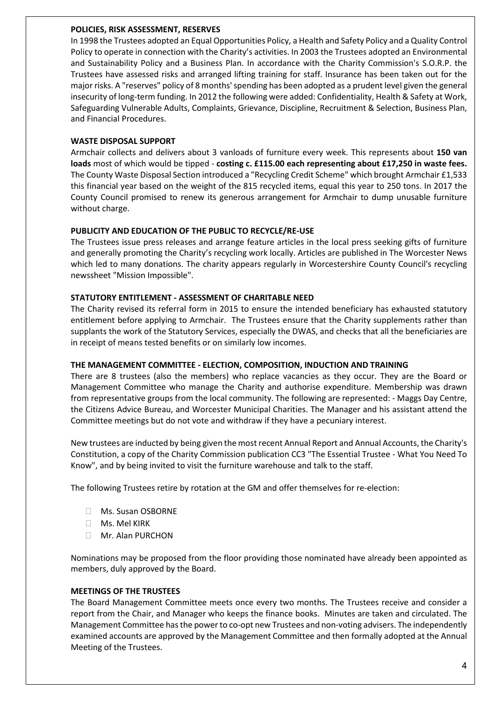# **POLICIES, RISK ASSESSMENT, RESERVES**

In 1998 the Trustees adopted an Equal Opportunities Policy, a Health and Safety Policy and a Quality Control Policy to operate in connection with the Charity's activities. In 2003 the Trustees adopted an Environmental and Sustainability Policy and a Business Plan. In accordance with the Charity Commission's S.O.R.P. the Trustees have assessed risks and arranged lifting training for staff. Insurance has been taken out for the major risks. A "reserves" policy of 8 months' spending has been adopted as a prudent level given the general insecurity of long-term funding. In 2012 the following were added: Confidentiality, Health & Safety at Work, Safeguarding Vulnerable Adults, Complaints, Grievance, Discipline, Recruitment & Selection, Business Plan, and Financial Procedures.

# **WASTE DISPOSAL SUPPORT**

Armchair collects and delivers about 3 vanloads of furniture every week. This represents about **150 van loads** most of which would be tipped - **costing c. £115.00 each representing about £17,250 in waste fees.**  The County Waste Disposal Section introduced a "Recycling Credit Scheme" which brought Armchair £1,533 this financial year based on the weight of the 815 recycled items, equal this year to 250 tons. In 2017 the County Council promised to renew its generous arrangement for Armchair to dump unusable furniture without charge.

# **PUBLICITY AND EDUCATION OF THE PUBLIC TO RECYCLE/RE-USE**

The Trustees issue press releases and arrange feature articles in the local press seeking gifts of furniture and generally promoting the Charity's recycling work locally. Articles are published in The Worcester News which led to many donations. The charity appears regularly in Worcestershire County Council's recycling newssheet "Mission Impossible".

# **STATUTORY ENTITLEMENT - ASSESSMENT OF CHARITABLE NEED**

The Charity revised its referral form in 2015 to ensure the intended beneficiary has exhausted statutory entitlement before applying to Armchair. The Trustees ensure that the Charity supplements rather than supplants the work of the Statutory Services, especially the DWAS, and checks that all the beneficiaries are in receipt of means tested benefits or on similarly low incomes.

# **THE MANAGEMENT COMMITTEE - ELECTION, COMPOSITION, INDUCTION AND TRAINING**

There are 8 trustees (also the members) who replace vacancies as they occur. They are the Board or Management Committee who manage the Charity and authorise expenditure. Membership was drawn from representative groups from the local community. The following are represented: - Maggs Day Centre, the Citizens Advice Bureau, and Worcester Municipal Charities. The Manager and his assistant attend the Committee meetings but do not vote and withdraw if they have a pecuniary interest.

New trustees are inducted by being given the most recent Annual Report and Annual Accounts, the Charity's Constitution, a copy of the Charity Commission publication CC3 "The Essential Trustee - What You Need To Know", and by being invited to visit the furniture warehouse and talk to the staff.

The following Trustees retire by rotation at the GM and offer themselves for re-election:

- Ms. Susan OSBORNE
- Ms. Mel KIRK
- Mr. Alan PURCHON

Nominations may be proposed from the floor providing those nominated have already been appointed as members, duly approved by the Board.

# **MEETINGS OF THE TRUSTEES**

The Board Management Committee meets once every two months. The Trustees receive and consider a report from the Chair, and Manager who keeps the finance books. Minutes are taken and circulated. The Management Committee has the power to co-opt new Trustees and non-voting advisers. The independently examined accounts are approved by the Management Committee and then formally adopted at the Annual Meeting of the Trustees.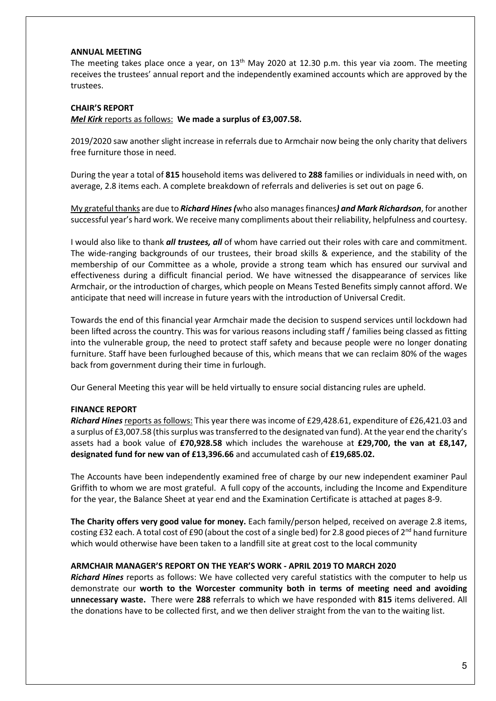#### **ANNUAL MEETING**

The meeting takes place once a year, on  $13<sup>th</sup>$  May 2020 at 12.30 p.m. this year via zoom. The meeting receives the trustees' annual report and the independently examined accounts which are approved by the trustees.

#### **CHAIR'S REPORT**

#### *Mel Kirk* reports as follows: **We made a surplus of £3,007.58.**

2019/2020 saw another slight increase in referrals due to Armchair now being the only charity that delivers free furniture those in need.

During the year a total of **815** household items was delivered to **288** families or individuals in need with, on average, 2.8 items each. A complete breakdown of referrals and deliveries is set out on page 6.

My grateful thanks are due to *Richard Hines (*who also manages finances*) and Mark Richardson*, for another successful year's hard work. We receive many compliments about their reliability, helpfulness and courtesy.

I would also like to thank *all trustees, all* of whom have carried out their roles with care and commitment. The wide-ranging backgrounds of our trustees, their broad skills & experience, and the stability of the membership of our Committee as a whole, provide a strong team which has ensured our survival and effectiveness during a difficult financial period. We have witnessed the disappearance of services like Armchair, or the introduction of charges, which people on Means Tested Benefits simply cannot afford. We anticipate that need will increase in future years with the introduction of Universal Credit.

Towards the end of this financial year Armchair made the decision to suspend services until lockdown had been lifted across the country. This was for various reasons including staff / families being classed as fitting into the vulnerable group, the need to protect staff safety and because people were no longer donating furniture. Staff have been furloughed because of this, which means that we can reclaim 80% of the wages back from government during their time in furlough.

Our General Meeting this year will be held virtually to ensure social distancing rules are upheld.

# **FINANCE REPORT**

*Richard Hines* reports as follows: This year there was income of £29,428.61, expenditure of £26,421.03 and a surplus of £3,007.58 (this surplus was transferred to the designated van fund). At the year end the charity's assets had a book value of **£70,928.58** which includes the warehouse at **£29,700, the van at £8,147, designated fund for new van of £13,396.66** and accumulated cash of **£19,685.02.**

The Accounts have been independently examined free of charge by our new independent examiner Paul Griffith to whom we are most grateful. A full copy of the accounts, including the Income and Expenditure for the year, the Balance Sheet at year end and the Examination Certificate is attached at pages 8-9.

**The Charity offers very good value for money.** Each family/person helped, received on average 2.8 items, costing £32 each. A total cost of £90 (about the cost of a single bed) for 2.8 good pieces of  $2^{nd}$  hand furniture which would otherwise have been taken to a landfill site at great cost to the local community

#### **ARMCHAIR MANAGER'S REPORT ON THE YEAR'S WORK - APRIL 2019 TO MARCH 2020**

*Richard Hines* reports as follows: We have collected very careful statistics with the computer to help us demonstrate our **worth to the Worcester community both in terms of meeting need and avoiding unnecessary waste.** There were **288** referrals to which we have responded with **815** items delivered. All the donations have to be collected first, and we then deliver straight from the van to the waiting list.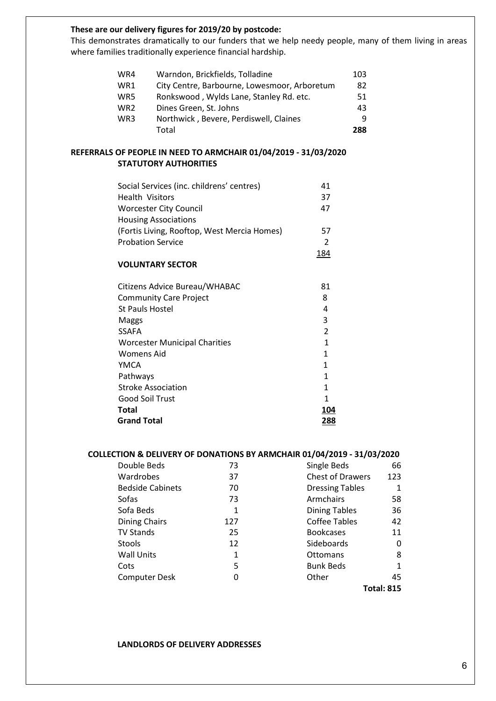# **These are our delivery figures for 2019/20 by postcode:**

This demonstrates dramatically to our funders that we help needy people, many of them living in areas where families traditionally experience financial hardship.

| WR4             | Warndon, Brickfields, Tolladine              | 103 |
|-----------------|----------------------------------------------|-----|
| WR1             | City Centre, Barbourne, Lowesmoor, Arboretum | 82  |
| WR5             | Ronkswood, Wylds Lane, Stanley Rd. etc.      | 51  |
| WR <sub>2</sub> | Dines Green, St. Johns                       | 43  |
| WR <sub>3</sub> | Northwick, Bevere, Perdiswell, Claines       | q   |
|                 | Total                                        | 288 |

# **REFERRALS OF PEOPLE IN NEED TO ARMCHAIR 01/04/2019 - 31/03/2020 STATUTORY AUTHORITIES**

| Social Services (inc. childrens' centres)   | 41            |
|---------------------------------------------|---------------|
| <b>Health Visitors</b>                      | 37            |
| <b>Worcester City Council</b>               | 47            |
| <b>Housing Associations</b>                 |               |
| (Fortis Living, Rooftop, West Mercia Homes) | 57            |
| <b>Probation Service</b>                    | $\mathcal{P}$ |
|                                             | 184           |

# **VOLUNTARY SECTOR**

| <b>Grand Total</b>                   | 288           |
|--------------------------------------|---------------|
| Total                                | 104           |
| <b>Good Soil Trust</b>               |               |
| <b>Stroke Association</b>            |               |
| Pathways                             |               |
| YMCA                                 |               |
| <b>Womens Aid</b>                    |               |
| <b>Worcester Municipal Charities</b> |               |
| <b>SSAFA</b>                         | $\mathfrak z$ |
| Maggs                                | 3             |
| <b>St Pauls Hostel</b>               | 4             |
| <b>Community Care Project</b>        | 8             |
| Citizens Advice Bureau/WHABAC        | 81            |
|                                      |               |

# **COLLECTION & DELIVERY OF DONATIONS BY ARMCHAIR 01/04/2019 - 31/03/2020**

| Double Beds             | 73  | Single Beds             | 66                |
|-------------------------|-----|-------------------------|-------------------|
| Wardrobes               | 37  | <b>Chest of Drawers</b> | 123               |
| <b>Bedside Cabinets</b> | 70  | <b>Dressing Tables</b>  | 1                 |
| Sofas                   | 73  | <b>Armchairs</b>        | 58                |
| Sofa Beds               | 1   | <b>Dining Tables</b>    | 36                |
| Dining Chairs           | 127 | Coffee Tables           | 42                |
| <b>TV Stands</b>        | 25  | <b>Bookcases</b>        | 11                |
| Stools                  | 12  | Sideboards              | 0                 |
| <b>Wall Units</b>       | 1   | Ottomans                | 8                 |
| Cots                    | 5   | <b>Bunk Beds</b>        | 1                 |
| <b>Computer Desk</b>    | 0   | Other                   | 45                |
|                         |     |                         | <b>Total: 815</b> |

#### **LANDLORDS OF DELIVERY ADDRESSES**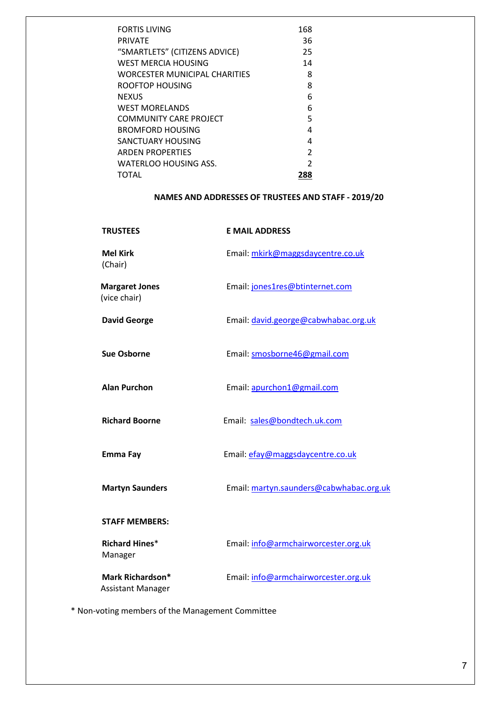| <b>FORTIS LIVING</b>          | 168            |
|-------------------------------|----------------|
| PRIVATE                       | 36             |
| "SMARTLETS" (CITIZENS ADVICE) | 25             |
| WEST MERCIA HOUSING           | 14             |
| WORCESTER MUNICIPAL CHARITIES | 8              |
| ROOFTOP HOUSING               | 8              |
| NEXUS                         | 6              |
| <b>WEST MORELANDS</b>         | 6              |
| COMMUNITY CARE PROJECT        | 5              |
| BROMFORD HOUSING              | 4              |
| SANCTUARY HOUSING             | 4              |
| <b>ARDEN PROPERTIES</b>       | $\mathfrak{p}$ |
| WATERLOO HOUSING ASS.         | $\mathcal{P}$  |
| TOTAL                         | 288            |

# **NAMES AND ADDRESSES OF TRUSTEES AND STAFF - 2019/20**

| <b>TRUSTEES</b>                              | <b>E MAIL ADDRESS</b>                   |
|----------------------------------------------|-----------------------------------------|
| <b>Mel Kirk</b><br>(Chair)                   | Email: mkirk@maggsdaycentre.co.uk       |
| <b>Margaret Jones</b><br>(vice chair)        | Email: jones1res@btinternet.com         |
| <b>David George</b>                          | Email: david.george@cabwhabac.org.uk    |
| <b>Sue Osborne</b>                           | Email: smosborne46@gmail.com            |
| <b>Alan Purchon</b>                          | Email: apurchon1@gmail.com              |
| <b>Richard Boorne</b>                        | Email: sales@bondtech.uk.com            |
| Emma Fay                                     | Email: efay@maggsdaycentre.co.uk        |
| <b>Martyn Saunders</b>                       | Email: martyn.saunders@cabwhabac.org.uk |
| <b>STAFF MEMBERS:</b>                        |                                         |
| <b>Richard Hines*</b><br>Manager             | Email: info@armchairworcester.org.uk    |
| Mark Richardson*<br><b>Assistant Manager</b> | Email: info@armchairworcester.org.uk    |

\* Non-voting members of the Management Committee